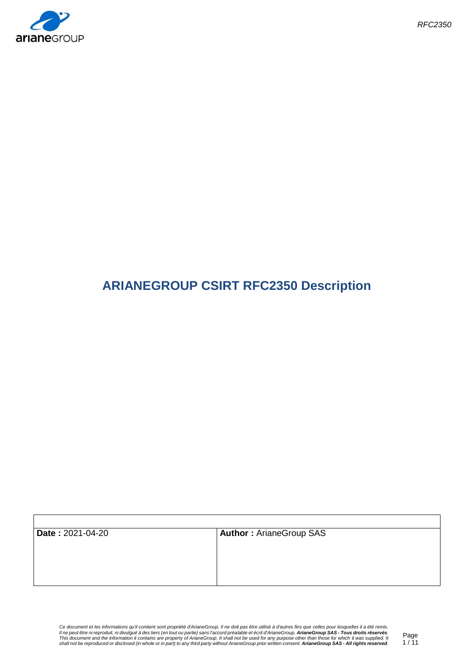

 $\mathsf{r}$ 

# **ARIANEGROUP CSIRT RFC2350 Description**

| Date: 2021-04-20 | <b>Author: ArianeGroup SAS</b> |
|------------------|--------------------------------|
|                  |                                |
|                  |                                |
|                  |                                |
|                  |                                |
|                  |                                |
|                  |                                |

Ce document et les informations qu'il contient sont propriété d'ArianeGroup. Il ne doit pas être utilisé à d'autres fins que celles pour lesquelles il a été remis.<br>Il ne peut être ni reproduit, ni divulgué à des tiers (en

٦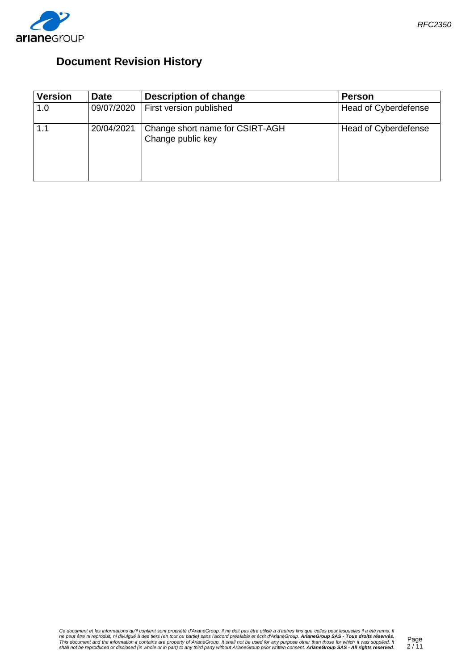

## **Document Revision History**

| <b>Version</b> | <b>Date</b> | <b>Description of change</b>                         | <b>Person</b>        |
|----------------|-------------|------------------------------------------------------|----------------------|
| 1.0            | 09/07/2020  | First version published                              | Head of Cyberdefense |
|                | 20/04/2021  | Change short name for CSIRT-AGH<br>Change public key | Head of Cyberdefense |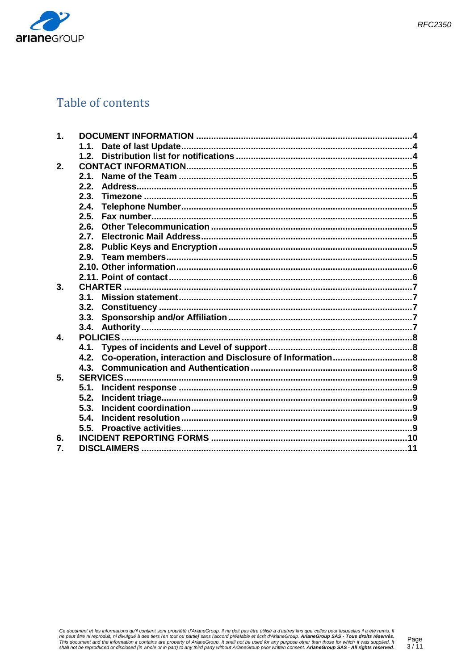

## Table of contents

| $\mathbf 1$ .        |      |  |  |
|----------------------|------|--|--|
|                      | 1.1. |  |  |
|                      | 1.2. |  |  |
| 2.                   |      |  |  |
|                      | 2.1. |  |  |
|                      | 2.2. |  |  |
|                      | 2.3. |  |  |
|                      | 2.4. |  |  |
|                      | 2.5. |  |  |
|                      | 2.6. |  |  |
|                      | 2.7. |  |  |
|                      | 2.8. |  |  |
|                      | 2.9. |  |  |
|                      |      |  |  |
|                      |      |  |  |
| 3.<br><b>CHARTER</b> |      |  |  |
|                      | 3.1. |  |  |
|                      |      |  |  |
|                      |      |  |  |
|                      |      |  |  |
| $\mathbf{\Lambda}$   |      |  |  |
|                      |      |  |  |
|                      | 4.2. |  |  |
|                      |      |  |  |
| 5.                   |      |  |  |
|                      | 5.1. |  |  |
|                      | 5.2. |  |  |
|                      | 5.3. |  |  |
|                      | 5.4. |  |  |
|                      | 5.5. |  |  |
| 6.                   |      |  |  |
| 7.                   |      |  |  |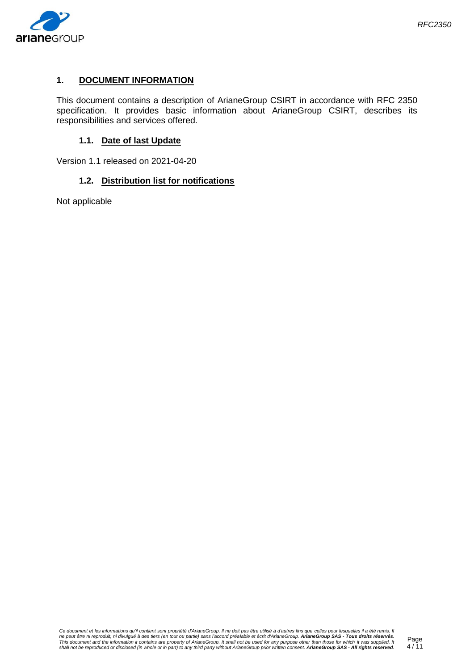

## <span id="page-3-0"></span>**1. DOCUMENT INFORMATION**

This document contains a description of ArianeGroup CSIRT in accordance with RFC 2350 specification. It provides basic information about ArianeGroup CSIRT, describes its responsibilities and services offered.

#### **1.1. Date of last Update**

<span id="page-3-2"></span><span id="page-3-1"></span>Version 1.1 released on 2021-04-20

#### **1.2. Distribution list for notifications**

Not applicable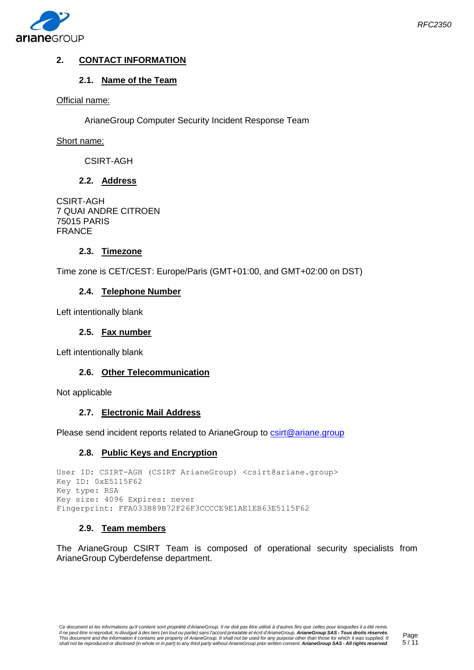

## <span id="page-4-1"></span><span id="page-4-0"></span>**2. CONTACT INFORMATION**

## **2.1. Name of the Team**

## Official name:

ArianeGroup Computer Security Incident Response Team

## Short name:

CSIRT-AGH

## **2.2. Address**

<span id="page-4-2"></span>CSIRT-AGH 7 QUAI ANDRE CITROEN 75015 PARIS FRANCE

## **2.3. Timezone**

<span id="page-4-4"></span><span id="page-4-3"></span>Time zone is CET/CEST: Europe/Paris (GMT+01:00, and GMT+02:00 on DST)

## **2.4. Telephone Number**

<span id="page-4-5"></span>Left intentionally blank

#### **2.5. Fax number**

<span id="page-4-6"></span>Left intentionally blank

#### **2.6. Other Telecommunication**

<span id="page-4-7"></span>Not applicable

#### **2.7. Electronic Mail Address**

<span id="page-4-8"></span>Please send incident reports related to ArianeGroup to [csirt@ariane.group](mailto:csirt@ariane.group)

#### **2.8. Public Keys and Encryption**

```
User ID: CSIRT-AGH (CSIRT ArianeGroup) <csirt@ariane.group>
Key ID: 0xE5115F62
Key type: RSA 
Key size: 4096 Expires: never 
Fingerprint: FFA033B89B72F26F3CCCCE9E1AE1EB63E5115F62
```
#### **2.9. Team members**

<span id="page-4-9"></span>The ArianeGroup CSIRT Team is composed of operational security specialists from ArianeGroup Cyberdefense department.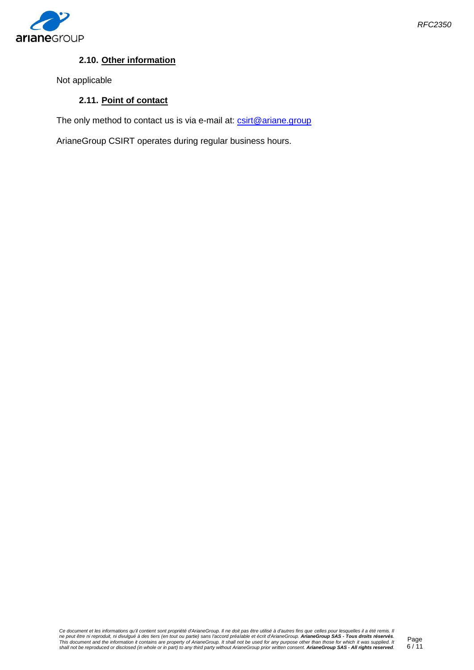

## **2.10. Other information**

<span id="page-5-1"></span><span id="page-5-0"></span>Not applicable

## **2.11. Point of contact**

The only method to contact us is via e-mail at: [csirt@ariane.group](mailto:csirt@ariane.group)

ArianeGroup CSIRT operates during regular business hours.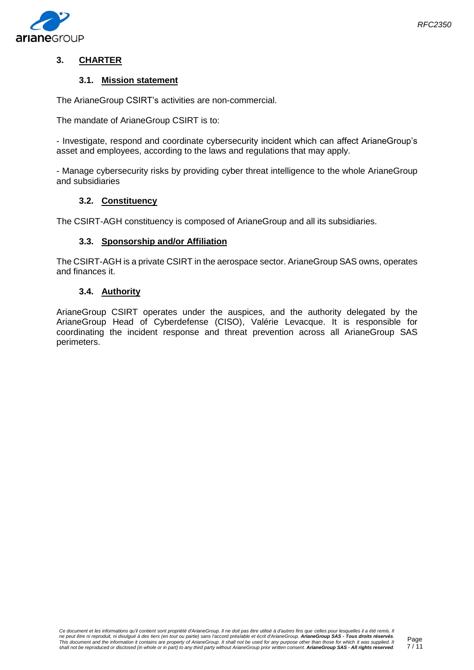

## <span id="page-6-1"></span><span id="page-6-0"></span>**3. CHARTER**

## **3.1. Mission statement**

The ArianeGroup CSIRT's activities are non-commercial.

The mandate of ArianeGroup CSIRT is to:

- Investigate, respond and coordinate cybersecurity incident which can affect ArianeGroup's asset and employees, according to the laws and regulations that may apply.

- Manage cybersecurity risks by providing cyber threat intelligence to the whole ArianeGroup and subsidiaries

#### **3.2. Constituency**

<span id="page-6-3"></span><span id="page-6-2"></span>The CSIRT-AGH constituency is composed of ArianeGroup and all its subsidiaries.

#### **3.3. Sponsorship and/or Affiliation**

The CSIRT-AGH is a private CSIRT in the aerospace sector. ArianeGroup SAS owns, operates and finances it.

## **3.4. Authority**

<span id="page-6-4"></span>ArianeGroup CSIRT operates under the auspices, and the authority delegated by the ArianeGroup Head of Cyberdefense (CISO), Valérie Levacque. It is responsible for coordinating the incident response and threat prevention across all ArianeGroup SAS perimeters.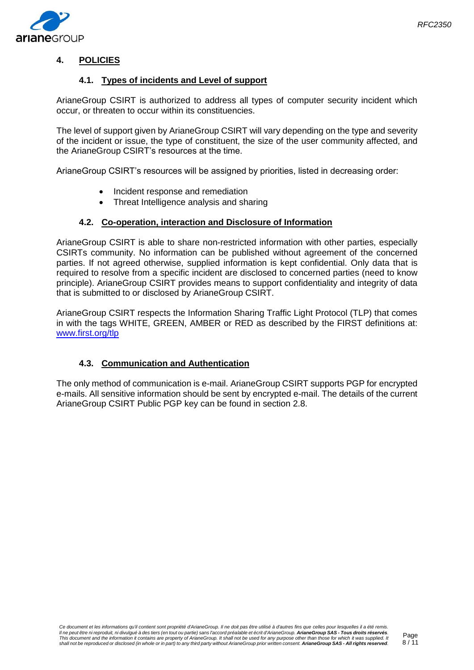

## <span id="page-7-1"></span><span id="page-7-0"></span>**4. POLICIES**

## **4.1. Types of incidents and Level of support**

ArianeGroup CSIRT is authorized to address all types of computer security incident which occur, or threaten to occur within its constituencies.

The level of support given by ArianeGroup CSIRT will vary depending on the type and severity of the incident or issue, the type of constituent, the size of the user community affected, and the ArianeGroup CSIRT's resources at the time.

ArianeGroup CSIRT's resources will be assigned by priorities, listed in decreasing order:

- Incident response and remediation
- Threat Intelligence analysis and sharing

## **4.2. Co-operation, interaction and Disclosure of Information**

<span id="page-7-2"></span>ArianeGroup CSIRT is able to share non-restricted information with other parties, especially CSIRTs community. No information can be published without agreement of the concerned parties. If not agreed otherwise, supplied information is kept confidential. Only data that is required to resolve from a specific incident are disclosed to concerned parties (need to know principle). ArianeGroup CSIRT provides means to support confidentiality and integrity of data that is submitted to or disclosed by ArianeGroup CSIRT.

ArianeGroup CSIRT respects the Information Sharing Traffic Light Protocol (TLP) that comes in with the tags WHITE, GREEN, AMBER or RED as described by the FIRST definitions at: [www.first.org/tlp](http://www.first.org/tlp)

### **4.3. Communication and Authentication**

<span id="page-7-3"></span>The only method of communication is e-mail. ArianeGroup CSIRT supports PGP for encrypted e-mails. All sensitive information should be sent by encrypted e-mail. The details of the current ArianeGroup CSIRT Public PGP key can be found in section 2.8.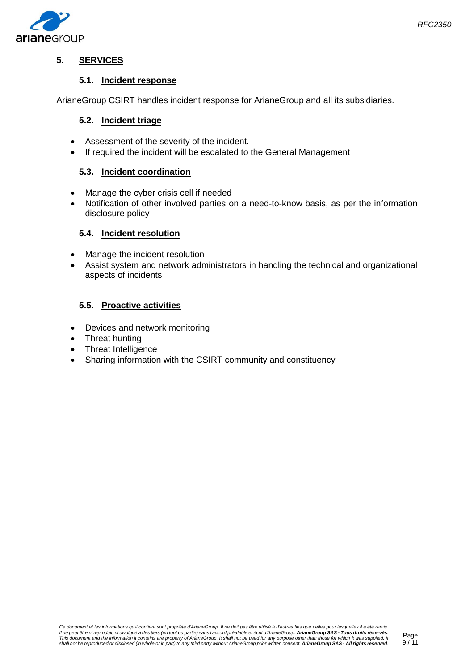

## <span id="page-8-1"></span><span id="page-8-0"></span>**5. SERVICES**

## **5.1. Incident response**

<span id="page-8-2"></span>ArianeGroup CSIRT handles incident response for ArianeGroup and all its subsidiaries.

## **5.2. Incident triage**

- Assessment of the severity of the incident.
- If required the incident will be escalated to the General Management

## <span id="page-8-3"></span>**5.3. Incident coordination**

- Manage the cyber crisis cell if needed
- Notification of other involved parties on a need-to-know basis, as per the information disclosure policy

## <span id="page-8-4"></span>**5.4. Incident resolution**

- Manage the incident resolution
- Assist system and network administrators in handling the technical and organizational aspects of incidents

## <span id="page-8-5"></span>**5.5. Proactive activities**

- Devices and network monitoring
- Threat hunting
- Threat Intelligence
- Sharing information with the CSIRT community and constituency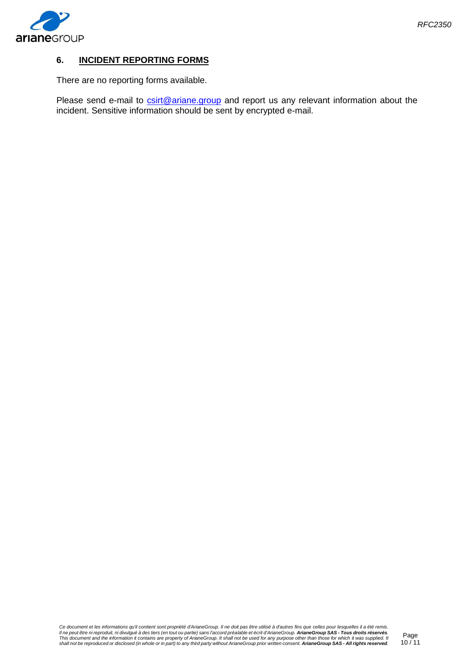

## <span id="page-9-0"></span>**6. INCIDENT REPORTING FORMS**

There are no reporting forms available.

Please send e-mail to **csirt@ariane.group** and report us any relevant information about the incident. Sensitive information should be sent by encrypted e-mail.